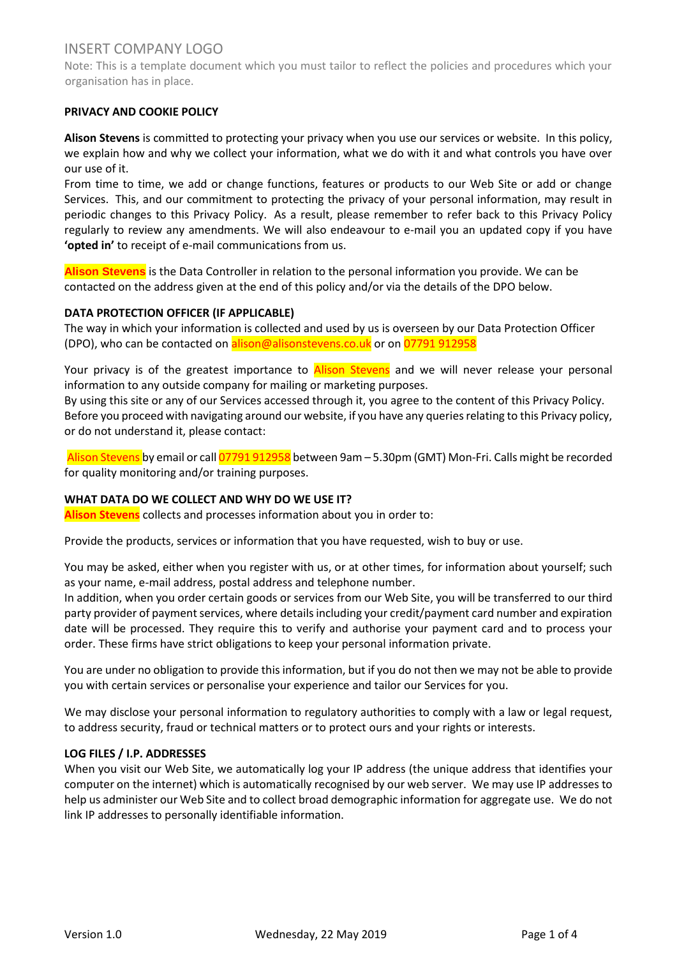Note: This is a template document which you must tailor to reflect the policies and procedures which your organisation has in place.

## **PRIVACY AND COOKIE POLICY**

**Alison Stevens** is committed to protecting your privacy when you use our services or website. In this policy, we explain how and why we collect your information, what we do with it and what controls you have over our use of it.

From time to time, we add or change functions, features or products to our Web Site or add or change Services. This, and our commitment to protecting the privacy of your personal information, may result in periodic changes to this Privacy Policy. As a result, please remember to refer back to this Privacy Policy regularly to review any amendments. We will also endeavour to e-mail you an updated copy if you have **'opted in'** to receipt of e-mail communications from us.

**Alison Stevens** is the Data Controller in relation to the personal information you provide. We can be contacted on the address given at the end of this policy and/or via the details of the DPO below.

## **DATA PROTECTION OFFICER (IF APPLICABLE)**

The way in which your information is collected and used by us is overseen by our Data Protection Officer (DPO), who can be contacted on alison@alisonstevens.co.uk or on 07791 912958

Your privacy is of the greatest importance to Alison Stevens and we will never release your personal information to any outside company for mailing or marketing purposes.

By using this site or any of our Services accessed through it, you agree to the content of this Privacy Policy. Before you proceed with navigating around our website, if you have any queries relating to this Privacy policy, or do not understand it, please contact:

Alison Stevens by email or call 07791 912958 between 9am - 5.30pm (GMT) Mon-Fri. Calls might be recorded for quality monitoring and/or training purposes.

### **WHAT DATA DO WE COLLECT AND WHY DO WE USE IT?**

**Alison Stevens** collects and processes information about you in order to:

Provide the products, services or information that you have requested, wish to buy or use.

You may be asked, either when you register with us, or at other times, for information about yourself; such as your name, e-mail address, postal address and telephone number.

In addition, when you order certain goods or services from our Web Site, you will be transferred to our third party provider of payment services, where details including your credit/payment card number and expiration date will be processed. They require this to verify and authorise your payment card and to process your order. These firms have strict obligations to keep your personal information private.

You are under no obligation to provide this information, but if you do not then we may not be able to provide you with certain services or personalise your experience and tailor our Services for you.

We may disclose your personal information to regulatory authorities to comply with a law or legal request, to address security, fraud or technical matters or to protect ours and your rights or interests.

### **LOG FILES / I.P. ADDRESSES**

When you visit our Web Site, we automatically log your IP address (the unique address that identifies your computer on the internet) which is automatically recognised by our web server. We may use IP addresses to help us administer our Web Site and to collect broad demographic information for aggregate use. We do not link IP addresses to personally identifiable information.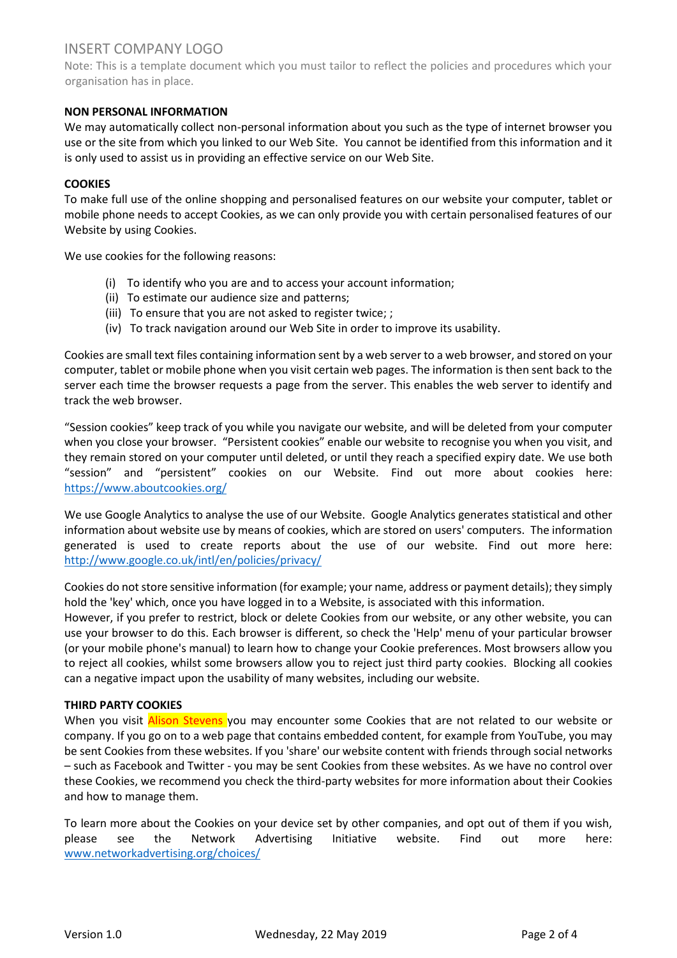Note: This is a template document which you must tailor to reflect the policies and procedures which your organisation has in place.

## **NON PERSONAL INFORMATION**

We may automatically collect non-personal information about you such as the type of internet browser you use or the site from which you linked to our Web Site. You cannot be identified from this information and it is only used to assist us in providing an effective service on our Web Site.

### **COOKIES**

To make full use of the online shopping and personalised features on our website your computer, tablet or mobile phone needs to accept Cookies, as we can only provide you with certain personalised features of our Website by using Cookies.

We use cookies for the following reasons:

- (i) To identify who you are and to access your account information;
- (ii) To estimate our audience size and patterns;
- (iii) To ensure that you are not asked to register twice; ;
- (iv) To track navigation around our Web Site in order to improve its usability.

Cookies are small text files containing information sent by a web server to a web browser, and stored on your computer, tablet or mobile phone when you visit certain web pages. The information is then sent back to the server each time the browser requests a page from the server. This enables the web server to identify and track the web browser.

"Session cookies" keep track of you while you navigate our website, and will be deleted from your computer when you close your browser. "Persistent cookies" enable our website to recognise you when you visit, and they remain stored on your computer until deleted, or until they reach a specified expiry date. We use both "session" and "persistent" cookies on our Website. Find out more about cookies here: <https://www.aboutcookies.org/>

We use Google Analytics to analyse the use of our Website. Google Analytics generates statistical and other information about website use by means of cookies, which are stored on users' computers. The information generated is used to create reports about the use of our website. Find out more here: <http://www.google.co.uk/intl/en/policies/privacy/>

Cookies do not store sensitive information (for example; your name, address or payment details); they simply hold the 'key' which, once you have logged in to a Website, is associated with this information.

However, if you prefer to restrict, block or delete Cookies from [our](https://www.bni.co.uk/) website, or any other website, you can use your browser to do this. Each browser is different, so check the 'Help' menu of your particular browser (or your mobile phone's manual) to learn how to change your Cookie preferences. Most browsers allow you to reject all cookies, whilst some browsers allow you to reject just third party cookies. Blocking all cookies can a negative impact upon the usability of many websites, including our website.

### **THIRD PARTY COOKIES**

When you visit Alison Stevens you may encounter some Cookies that are not related to our website or company. If you go on to a web page that contains embedded content, for example from YouTube, you may be sent Cookies from these websites. If you 'share' our website content with friends through social networks – such as Facebook and Twitter - you may be sent Cookies from these websites. As we have no control over these Cookies, we recommend you check the third-party websites for more information about their Cookies and how to manage them.

To learn more about the Cookies on your device set by other companies, and opt out of them if you wish, please see the Network Advertising Initiative website. Find out more here: [www.networkadvertising.org/choices/](http://www.networkadvertising.org/choices/)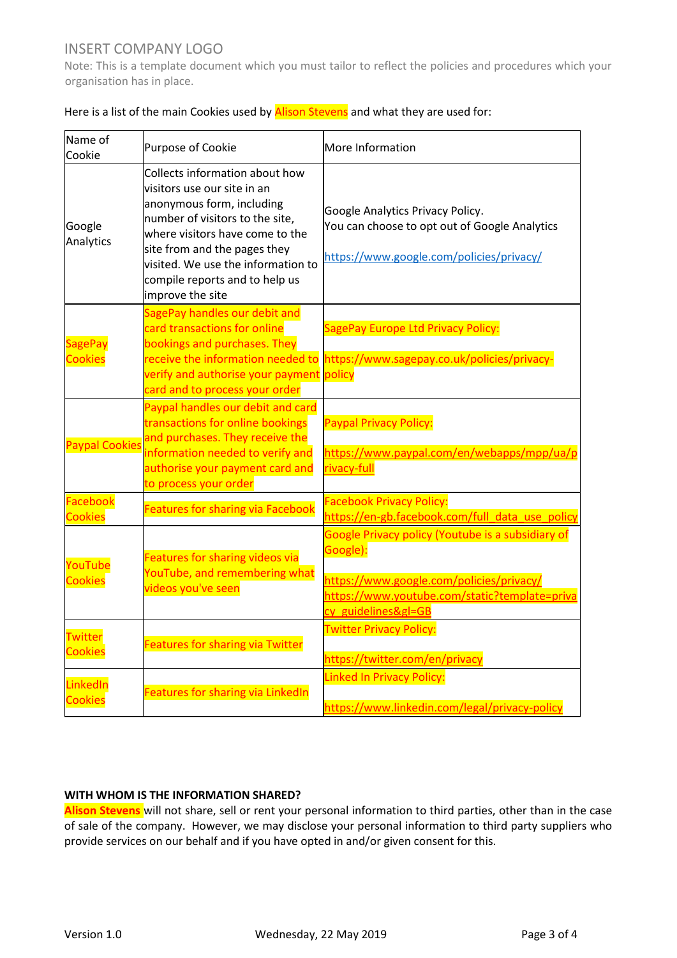Note: This is a template document which you must tailor to reflect the policies and procedures which your organisation has in place.

| Name of<br>Cookie                | Purpose of Cookie                                                                                                                                                                                                                                                                            | More Information                                                                                                                                                                |  |
|----------------------------------|----------------------------------------------------------------------------------------------------------------------------------------------------------------------------------------------------------------------------------------------------------------------------------------------|---------------------------------------------------------------------------------------------------------------------------------------------------------------------------------|--|
| Google<br>Analytics              | Collects information about how<br>visitors use our site in an<br>anonymous form, including<br>number of visitors to the site,<br>where visitors have come to the<br>site from and the pages they<br>visited. We use the information to<br>compile reports and to help us<br>improve the site | Google Analytics Privacy Policy.<br>You can choose to opt out of Google Analytics<br>https://www.google.com/policies/privacy/                                                   |  |
| <b>SagePay</b><br><b>Cookies</b> | SagePay handles our debit and<br>card transactions for online<br>bookings and purchases. They<br>receive the information needed to<br>verify and authorise your payment<br>card and to process your order                                                                                    | SagePay Europe Ltd Privacy Policy:<br>https://www.sagepay.co.uk/policies/privacy-<br>policy                                                                                     |  |
| <b>Paypal Cookies</b>            | Paypal handles our debit and card<br>transactions for online bookings<br>and purchases. They receive the<br>information needed to verify and<br>authorise your payment card and<br>to process your order                                                                                     | <b>Paypal Privacy Policy:</b><br>https://www.paypal.com/en/webapps/mpp/ua/p<br>rivacy-full                                                                                      |  |
| Facebook<br><b>Cookies</b>       | <b>Features for sharing via Facebook</b>                                                                                                                                                                                                                                                     | <b>Facebook Privacy Policy:</b><br>https://en-gb.facebook.com/full_data_use_policy                                                                                              |  |
| YouTube<br><b>Cookies</b>        | <b>Features for sharing videos via</b><br>YouTube, and remembering what<br>videos you've seen                                                                                                                                                                                                | Google Privacy policy (Youtube is a subsidiary of<br>Google):<br>https://www.google.com/policies/privacy/<br>https://www.youtube.com/static?template=priva<br>cy guidelines≷=GB |  |
| Twitter<br><b>Cookies</b>        | <b>Features for sharing via Twitter</b>                                                                                                                                                                                                                                                      | <b>Twitter Privacy Policy:</b><br>https://twitter.com/en/privacy                                                                                                                |  |
| LinkedIn<br><b>Cookies</b>       | <b>Features for sharing via LinkedIn</b>                                                                                                                                                                                                                                                     | <b>Linked In Privacy Policy:</b><br>https://www.linkedin.com/legal/privacy-policy                                                                                               |  |

| Here is a list of the main Cookies used by | s and what they are used for: |
|--------------------------------------------|-------------------------------|
|                                            |                               |

## **WITH WHOM IS THE INFORMATION SHARED?**

**Alison Stevens** will not share, sell or rent your personal information to third parties, other than in the case of sale of the company. However, we may disclose your personal information to third party suppliers who provide services on our behalf and if you have opted in and/or given consent for this.